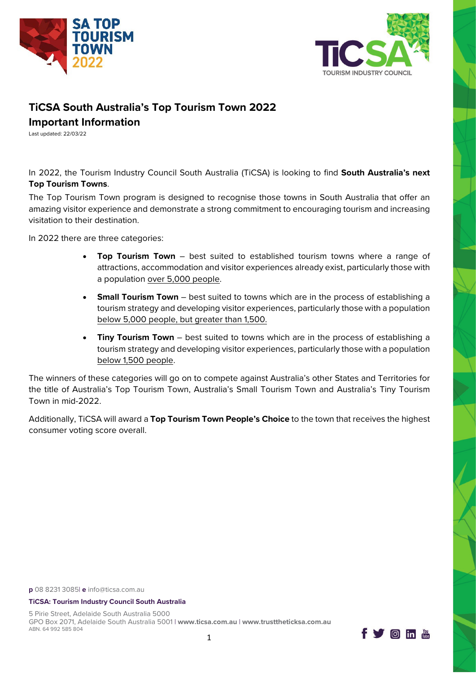



# **TiCSA South Australia's Top Tourism Town 2022**

# **Important Information**

Last updated: 22/03/22

In 2022, the Tourism Industry Council South Australia (TiCSA) is looking to find **South Australia's next Top Tourism Towns**.

The Top Tourism Town program is designed to recognise those towns in South Australia that offer an amazing visitor experience and demonstrate a strong commitment to encouraging tourism and increasing visitation to their destination.

In 2022 there are three categories:

- **Top Tourism Town**  best suited to established tourism towns where a range of attractions, accommodation and visitor experiences already exist, particularly those with a population over 5,000 people.
- **Small Tourism Town** best suited to towns which are in the process of establishing a tourism strategy and developing visitor experiences, particularly those with a population below 5,000 people, but greater than 1,500.
- **Tiny Tourism Town** best suited to towns which are in the process of establishing a tourism strategy and developing visitor experiences, particularly those with a population below 1,500 people.

The winners of these categories will go on to compete against Australia's other States and Territories for the title of Australia's Top Tourism Town, Australia's Small Tourism Town and Australia's Tiny Tourism Town in mid-2022.

Additionally, TiCSA will award a **Top Tourism Town People's Choice** to the town that receives the highest consumer voting score overall.

**p** 08 8231 3085| **e** [info@ticsa.com.au](mailto:info@ticsa.com.au)

#### **TiCSA: Tourism Industry Council South Australia**

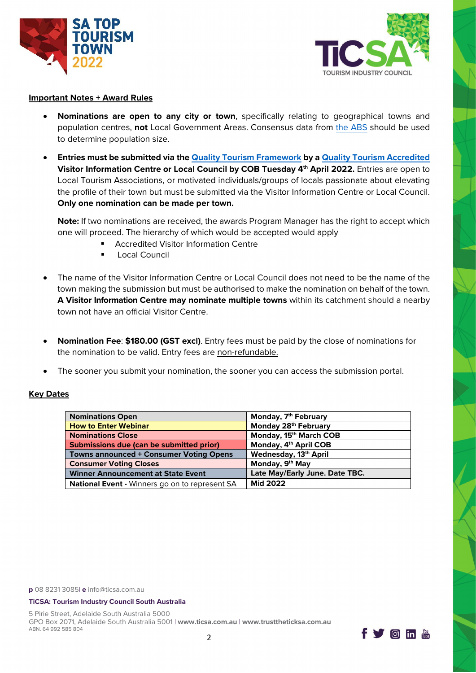



#### **Important Notes + Award Rules**

- **Nominations are open to any city or town**, specifically relating to geographical towns and population centres, **not** Local Government Areas. Consensus data from [the ABS](https://www.abs.gov.au/websitedbs/D3310114.nsf/Home/2016%20search%20by%20geography) should be used to determine population size.
- **Entries must be submitted via th[e Quality Tourism Framework](https://online.qualitytourismaustralia.com/) by [a Quality Tourism Accredited](https://ticsa.com.au/industry-programs/quality-tourism-framework/australian-tourism-accreditation-program/) Visitor Information Centre or Local Council by COB Tuesday 4th April 2022.** Entries are open to Local Tourism Associations, or motivated individuals/groups of locals passionate about elevating the profile of their town but must be submitted via the Visitor Information Centre or Local Council. **Only one nomination can be made per town.**

**Note:** If two nominations are received, the awards Program Manager has the right to accept which one will proceed. The hierarchy of which would be accepted would apply

- Accredited Visitor Information Centre
- Local Council
- The name of the Visitor Information Centre or Local Council does not need to be the name of the town making the submission but must be authorised to make the nomination on behalf of the town. **A Visitor Information Centre may nominate multiple towns** within its catchment should a nearby town not have an official Visitor Centre.
- **Nomination Fee**: **\$180.00 (GST excl)**. Entry fees must be paid by the close of nominations for the nomination to be valid. Entry fees are non-refundable.
- The sooner you submit your nomination, the sooner you can access the submission portal.

#### **Key Dates**

| Nominations Open                                      | Monday, 7 <sup>th</sup> February  |
|-------------------------------------------------------|-----------------------------------|
| <b>How to Enter Webinar</b>                           | Monday 28th February              |
| Nominations Close                                     | Monday, 15th March COB            |
| Submissions due (can be submitted prior)              | Monday, 4 <sup>th</sup> April COB |
| <b>Towns announced + Consumer Voting Opens</b>        | Wednesday, 13th April             |
| <b>Consumer Voting Closes</b>                         | Monday, 9 <sup>th</sup> May       |
| <b>Winner Announcement at State Event</b>             | Late May/Early June. Date TBC.    |
| <b>National Event - Winners go on to represent SA</b> | <b>Mid 2022</b>                   |

**p** 08 8231 3085| **e** [info@ticsa.com.au](mailto:info@ticsa.com.au)

#### **TiCSA: Tourism Industry Council South Australia**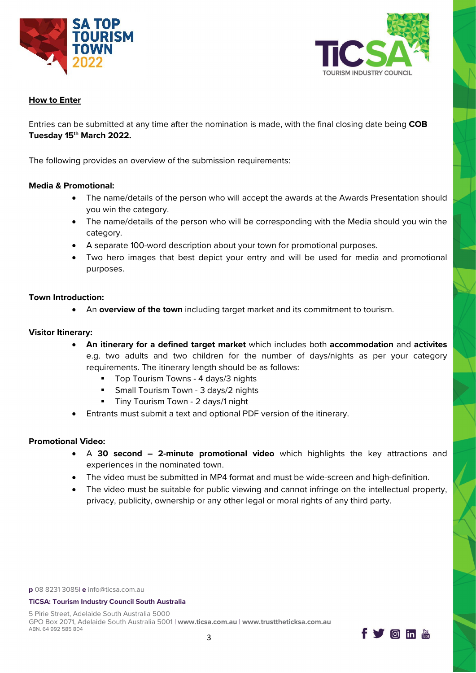



## **How to Enter**

Entries can be submitted at any time after the nomination is made, with the final closing date being **COB Tuesday 15th March 2022.** 

The following provides an overview of the submission requirements:

### **Media & Promotional:**

- The name/details of the person who will accept the awards at the Awards Presentation should you win the category.
- The name/details of the person who will be corresponding with the Media should you win the category.
- A separate 100-word description about your town for promotional purposes.
- Two hero images that best depict your entry and will be used for media and promotional purposes.

### **Town Introduction:**

• An **overview of the town** including target market and its commitment to tourism.

## **Visitor Itinerary:**

- **An itinerary for a defined target market** which includes both **accommodation** and **activites** e.g. two adults and two children for the number of days/nights as per your category requirements. The itinerary length should be as follows:
	- Top Tourism Towns 4 days/3 nights
	- **Small Tourism Town 3 days/2 nights**
	- **Tiny Tourism Town 2 days/1 night**
- Entrants must submit a text and optional PDF version of the itinerary.

# **Promotional Video:**

- A **30 second 2-minute promotional video** which highlights the key attractions and experiences in the nominated town.
- The video must be submitted in MP4 format and must be wide-screen and high-definition.
- The video must be suitable for public viewing and cannot infringe on the intellectual property, privacy, publicity, ownership or any other legal or moral rights of any third party.

**p** 08 8231 3085| **e** [info@ticsa.com.au](mailto:info@ticsa.com.au)

#### **TiCSA: Tourism Industry Council South Australia**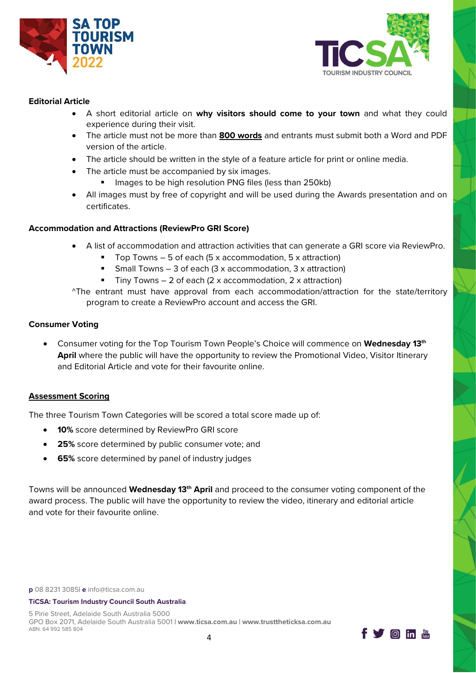



### **Editorial Article**

- A short editorial article on **why visitors should come to your town** and what they could experience during their visit.
- The article must not be more than **800 words** and entrants must submit both a Word and PDF version of the article.
- The article should be written in the style of a feature article for print or online media.
- The article must be accompanied by six images.
	- Images to be high resolution PNG files (less than 250kb)
- All images must by free of copyright and will be used during the Awards presentation and on certificates.

### **Accommodation and Attractions (ReviewPro GRI Score)**

- A list of accommodation and attraction activities that can generate a GRI score via ReviewPro.
	- Top Towns 5 of each (5 x accommodation, 5 x attraction)
	- Small Towns 3 of each (3 x accommodation, 3 x attraction)
	- Tiny Towns 2 of each (2 x accommodation, 2 x attraction)
- ^The entrant must have approval from each accommodation/attraction for the state/territory program to create a ReviewPro account and access the GRI.

#### **Consumer Voting**

• Consumer voting for the Top Tourism Town People's Choice will commence on **Wednesday 13th** April where the public will have the opportunity to review the Promotional Video, Visitor Itinerary and Editorial Article and vote for their favourite online.

# **Assessment Scoring**

The three Tourism Town Categories will be scored a total score made up of:

- **10%** score determined by ReviewPro GRI score
- **25%** score determined by public consumer vote; and
- **65%** score determined by panel of industry judges

Towns will be announced **Wednesday 13th April** and proceed to the consumer voting component of the award process. The public will have the opportunity to review the video, itinerary and editorial article and vote for their favourite online.

**p** 08 8231 3085| **e** [info@ticsa.com.au](mailto:info@ticsa.com.au)

#### **TiCSA: Tourism Industry Council South Australia**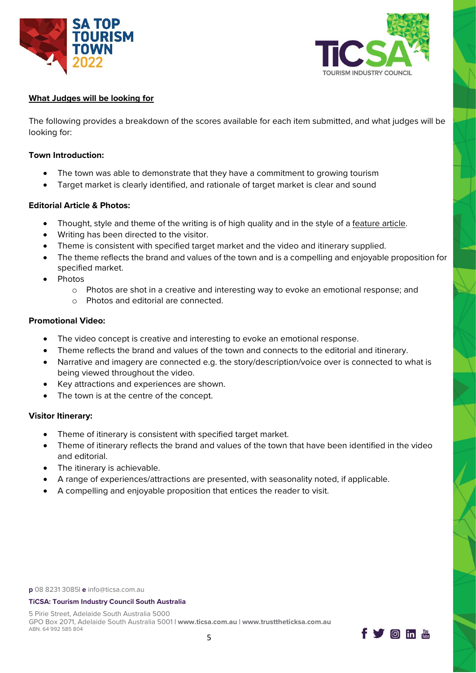



## **What Judges will be looking for**

The following provides a breakdown of the scores available for each item submitted, and what judges will be looking for:

#### **Town Introduction:**

- The town was able to demonstrate that they have a commitment to growing tourism
- Target market is clearly identified, and rationale of target market is clear and sound

# **Editorial Article & Photos:**

- Thought, style and theme of the writing is of high quality and in the style of a feature article.
- Writing has been directed to the visitor.
- Theme is consistent with specified target market and the video and itinerary supplied.
- The theme reflects the brand and values of the town and is a compelling and enjoyable proposition for specified market.
- Photos
	- o Photos are shot in a creative and interesting way to evoke an emotional response; and
	- o Photos and editorial are connected.

### **Promotional Video:**

- The video concept is creative and interesting to evoke an emotional response.
- Theme reflects the brand and values of the town and connects to the editorial and itinerary.
- Narrative and imagery are connected e.g. the story/description/voice over is connected to what is being viewed throughout the video.
- Key attractions and experiences are shown.
- The town is at the centre of the concept.

# **Visitor Itinerary:**

- Theme of itinerary is consistent with specified target market.
- Theme of itinerary reflects the brand and values of the town that have been identified in the video and editorial.
- The itinerary is achievable.
- A range of experiences/attractions are presented, with seasonality noted, if applicable.
- A compelling and enjoyable proposition that entices the reader to visit.

#### **TiCSA: Tourism Industry Council South Australia**

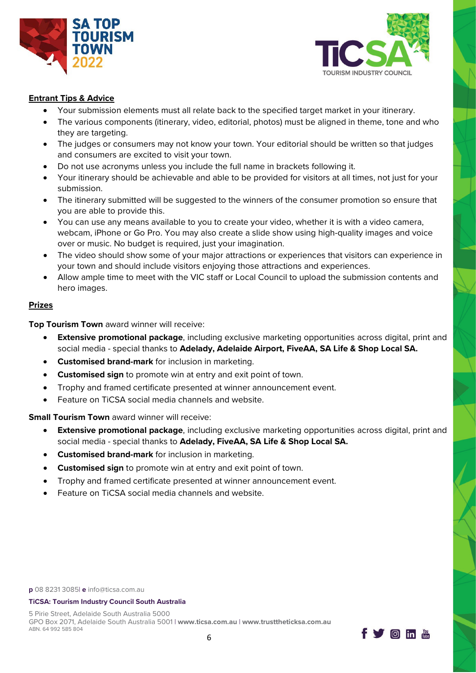



## **Entrant Tips & Advice**

- Your submission elements must all relate back to the specified target market in your itinerary.
- The various components (itinerary, video, editorial, photos) must be aligned in theme, tone and who they are targeting.
- The judges or consumers may not know your town. Your editorial should be written so that judges and consumers are excited to visit your town.
- Do not use acronyms unless you include the full name in brackets following it.
- Your itinerary should be achievable and able to be provided for visitors at all times, not just for your submission.
- The itinerary submitted will be suggested to the winners of the consumer promotion so ensure that you are able to provide this.
- You can use any means available to you to create your video, whether it is with a video camera, webcam, iPhone or Go Pro. You may also create a slide show using high-quality images and voice over or music. No budget is required, just your imagination.
- The video should show some of your major attractions or experiences that visitors can experience in your town and should include visitors enjoying those attractions and experiences.
- Allow ample time to meet with the VIC staff or Local Council to upload the submission contents and hero images.

### **Prizes**

**Top Tourism Town** award winner will receive:

- **Extensive promotional package**, including exclusive marketing opportunities across digital, print and social media - special thanks to **Adelady, Adelaide Airport, FiveAA, SA Life & Shop Local SA.**
- **Customised brand-mark** for inclusion in marketing.
- **Customised sign** to promote win at entry and exit point of town.
- Trophy and framed certificate presented at winner announcement event.
- Feature on TiCSA social media channels and website.

**Small Tourism Town** award winner will receive:

- **Extensive promotional package**, including exclusive marketing opportunities across digital, print and social media - special thanks to **Adelady, FiveAA, SA Life & Shop Local SA.**
- **Customised brand-mark** for inclusion in marketing.
- **Customised sign** to promote win at entry and exit point of town.
- Trophy and framed certificate presented at winner announcement event.
- Feature on TiCSA social media channels and website.

**p** 08 8231 3085| **e** [info@ticsa.com.au](mailto:info@ticsa.com.au)

#### **TiCSA: Tourism Industry Council South Australia**